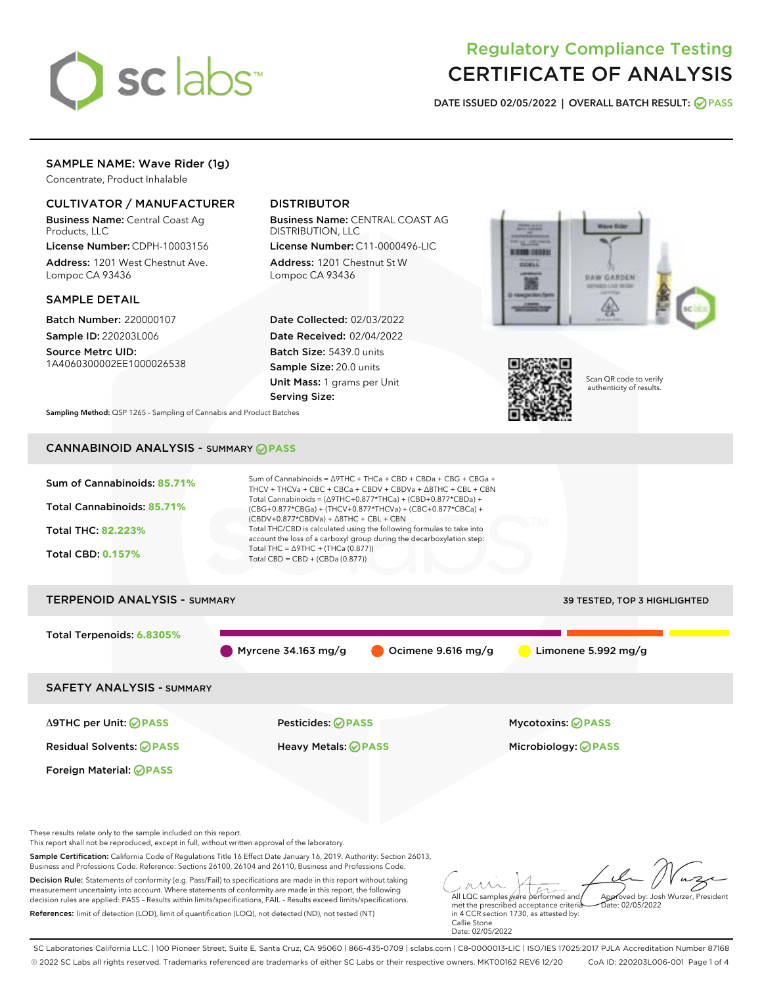

# Regulatory Compliance Testing CERTIFICATE OF ANALYSIS

DATE ISSUED 02/05/2022 | OVERALL BATCH RESULT: @ PASS

## SAMPLE NAME: Wave Rider (1g)

Concentrate, Product Inhalable

## CULTIVATOR / MANUFACTURER

Business Name: Central Coast Ag Products, LLC

License Number: CDPH-10003156 Address: 1201 West Chestnut Ave. Lompoc CA 93436

#### SAMPLE DETAIL

Batch Number: 220000107 Sample ID: 220203L006

Source Metrc UID: 1A4060300002EE1000026538

## DISTRIBUTOR

Business Name: CENTRAL COAST AG DISTRIBUTION, LLC

License Number: C11-0000496-LIC Address: 1201 Chestnut St W Lompoc CA 93436

Date Collected: 02/03/2022 Date Received: 02/04/2022 Batch Size: 5439.0 units Sample Size: 20.0 units Unit Mass: 1 grams per Unit Serving Size:





Scan QR code to verify authenticity of results.

Sampling Method: QSP 1265 - Sampling of Cannabis and Product Batches

## CANNABINOID ANALYSIS - SUMMARY **PASS**

| Sum of Cannabinoids: 85.71%<br><b>Total Cannabinoids: 85.71%</b>                                                                                                                                                                                                                                                                                          | Sum of Cannabinoids = $\triangle$ 9THC + THCa + CBD + CBDa + CBG + CBGa +<br>THCV + THCVa + CBC + CBCa + CBDV + CBDVa + $\Delta$ 8THC + CBL + CBN<br>Total Cannabinoids = $(\Delta 9THC + 0.877*THCa) + (CBD + 0.877*CBDa) +$<br>(CBG+0.877*CBGa) + (THCV+0.877*THCVa) + (CBC+0.877*CBCa) + |                                                                                                      |  |
|-----------------------------------------------------------------------------------------------------------------------------------------------------------------------------------------------------------------------------------------------------------------------------------------------------------------------------------------------------------|---------------------------------------------------------------------------------------------------------------------------------------------------------------------------------------------------------------------------------------------------------------------------------------------|------------------------------------------------------------------------------------------------------|--|
| <b>Total THC: 82.223%</b>                                                                                                                                                                                                                                                                                                                                 | $(CBDV+0.877*CBDVa) + \Delta 8THC + CBL + CBN$<br>Total THC/CBD is calculated using the following formulas to take into<br>account the loss of a carboxyl group during the decarboxylation step:                                                                                            |                                                                                                      |  |
| <b>Total CBD: 0.157%</b>                                                                                                                                                                                                                                                                                                                                  | Total THC = $\triangle$ 9THC + (THCa (0.877))<br>Total CBD = $CBD + (CBDa (0.877))$                                                                                                                                                                                                         |                                                                                                      |  |
| <b>TERPENOID ANALYSIS - SUMMARY</b>                                                                                                                                                                                                                                                                                                                       |                                                                                                                                                                                                                                                                                             | 39 TESTED, TOP 3 HIGHLIGHTED                                                                         |  |
| Total Terpenoids: 6.8305%                                                                                                                                                                                                                                                                                                                                 |                                                                                                                                                                                                                                                                                             |                                                                                                      |  |
|                                                                                                                                                                                                                                                                                                                                                           | Myrcene $34.163$ mg/g                                                                                                                                                                                                                                                                       | Limonene 5.992 mg/g<br>Ocimene 9.616 mg/g                                                            |  |
| <b>SAFETY ANALYSIS - SUMMARY</b>                                                                                                                                                                                                                                                                                                                          |                                                                                                                                                                                                                                                                                             |                                                                                                      |  |
| ∆9THC per Unit: ⊘PASS                                                                                                                                                                                                                                                                                                                                     | <b>Pesticides: ⊘ PASS</b>                                                                                                                                                                                                                                                                   | <b>Mycotoxins: ⊘PASS</b>                                                                             |  |
| <b>Residual Solvents: ⊘ PASS</b>                                                                                                                                                                                                                                                                                                                          | <b>Heavy Metals: ⊘ PASS</b>                                                                                                                                                                                                                                                                 | Microbiology: <b>⊘PASS</b>                                                                           |  |
| Foreign Material: <b>⊘ PASS</b>                                                                                                                                                                                                                                                                                                                           |                                                                                                                                                                                                                                                                                             |                                                                                                      |  |
|                                                                                                                                                                                                                                                                                                                                                           |                                                                                                                                                                                                                                                                                             |                                                                                                      |  |
| These results relate only to the sample included on this report.<br>This report shall not be reproduced, except in full, without written approval of the laboratory.                                                                                                                                                                                      |                                                                                                                                                                                                                                                                                             |                                                                                                      |  |
| Business and Professions Code. Reference: Sections 26100, 26104 and 26110, Business and Professions Code.                                                                                                                                                                                                                                                 | Sample Certification: California Code of Regulations Title 16 Effect Date January 16, 2019. Authority: Section 26013,                                                                                                                                                                       |                                                                                                      |  |
| Decision Rule: Statements of conformity (e.g. Pass/Fail) to specifications are made in this report without taking<br>measurement uncertainty into account. Where statements of conformity are made in this report, the following<br>decision rules are applied: PASS - Results within limits/specifications, FAIL - Results exceed limits/specifications. |                                                                                                                                                                                                                                                                                             | All LQC samples were performed and<br>Approved by: Josh Wurzer, President                            |  |
| References: limit of detection (LOD), limit of quantification (LOQ), not detected (ND), not tested (NT)                                                                                                                                                                                                                                                   |                                                                                                                                                                                                                                                                                             | met the prescribed acceptance criteria<br>Date: 02/05/2022<br>in 4 CCR section 1730, as attested by: |  |

References: limit of detection (LOD), limit of quantification (LOQ), not detected (ND), not tested (NT)

Callie Stone Date: 02/05/2022

SC Laboratories California LLC. | 100 Pioneer Street, Suite E, Santa Cruz, CA 95060 | 866-435-0709 | sclabs.com | C8-0000013-LIC | ISO/IES 17025:2017 PJLA Accreditation Number 87168 © 2022 SC Labs all rights reserved. Trademarks referenced are trademarks of either SC Labs or their respective owners. MKT00162 REV6 12/20 CoA ID: 220203L006-001 Page 1 of 4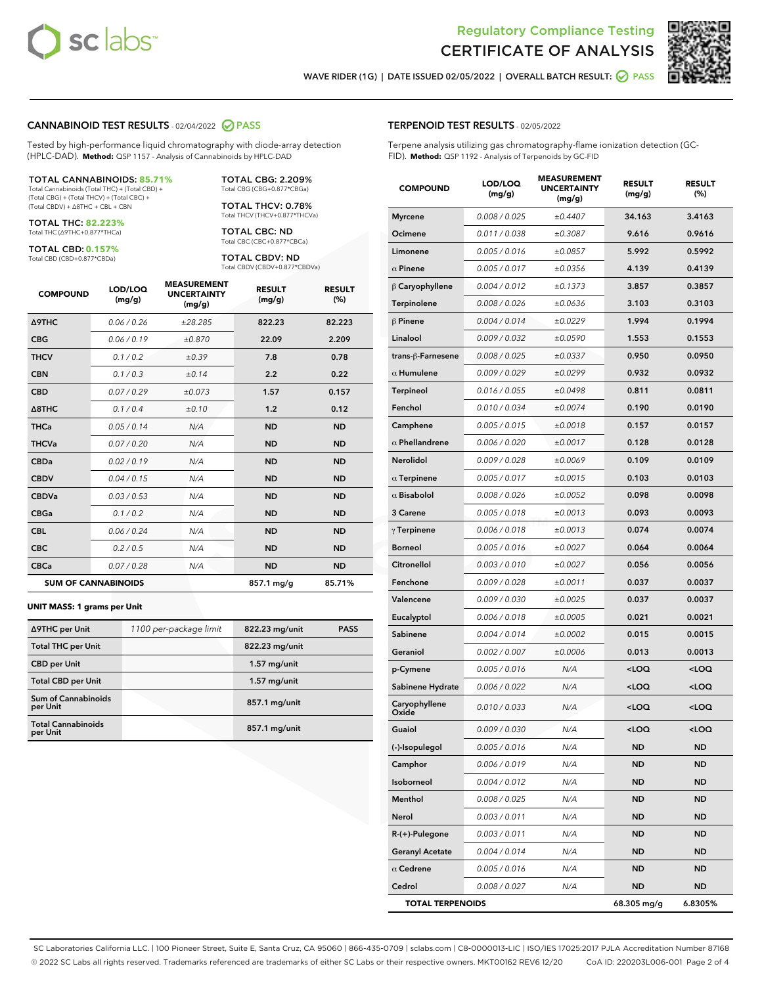

Terpene analysis utilizing gas chromatography-flame ionization detection (GC-



WAVE RIDER (1G) | DATE ISSUED 02/05/2022 | OVERALL BATCH RESULT: @ PASS

TERPENOID TEST RESULTS - 02/05/2022

FID). **Method:** QSP 1192 - Analysis of Terpenoids by GC-FID

#### CANNABINOID TEST RESULTS - 02/04/2022 2 PASS

Tested by high-performance liquid chromatography with diode-array detection (HPLC-DAD). **Method:** QSP 1157 - Analysis of Cannabinoids by HPLC-DAD

#### TOTAL CANNABINOIDS: **85.71%**

Total Cannabinoids (Total THC) + (Total CBD) + (Total CBG) + (Total THCV) + (Total CBC) + (Total CBDV) + ∆8THC + CBL + CBN

TOTAL THC: **82.223%** Total THC (∆9THC+0.877\*THCa)

TOTAL CBD: **0.157%**

Total CBD (CBD+0.877\*CBDa)

TOTAL CBG: 2.209% Total CBG (CBG+0.877\*CBGa)

TOTAL THCV: 0.78% Total THCV (THCV+0.877\*THCVa)

TOTAL CBC: ND Total CBC (CBC+0.877\*CBCa)

TOTAL CBDV: ND Total CBDV (CBDV+0.877\*CBDVa)

| <b>COMPOUND</b>  | LOD/LOQ<br>(mg/g)          | <b>MEASUREMENT</b><br><b>UNCERTAINTY</b><br>(mg/g) | <b>RESULT</b><br>(mg/g) | <b>RESULT</b><br>(%) |
|------------------|----------------------------|----------------------------------------------------|-------------------------|----------------------|
| <b>A9THC</b>     | 0.06 / 0.26                | ±28.285                                            | 822.23                  | 82.223               |
| <b>CBG</b>       | 0.06/0.19                  | ±0.870                                             | 22.09                   | 2.209                |
| <b>THCV</b>      | 0.1 / 0.2                  | ±0.39                                              | 7.8                     | 0.78                 |
| <b>CBN</b>       | 0.1/0.3                    | ±0.14                                              | 2.2                     | 0.22                 |
| <b>CBD</b>       | 0.07/0.29                  | ±0.073                                             | 1.57                    | 0.157                |
| $\triangle$ 8THC | 0.1 / 0.4                  | ±0.10                                              | 1.2                     | 0.12                 |
| <b>THCa</b>      | 0.05/0.14                  | N/A                                                | <b>ND</b>               | <b>ND</b>            |
| <b>THCVa</b>     | 0.07/0.20                  | N/A                                                | <b>ND</b>               | <b>ND</b>            |
| <b>CBDa</b>      | 0.02/0.19                  | N/A                                                | <b>ND</b>               | <b>ND</b>            |
| <b>CBDV</b>      | 0.04/0.15                  | N/A                                                | <b>ND</b>               | <b>ND</b>            |
| <b>CBDVa</b>     | 0.03/0.53                  | N/A                                                | <b>ND</b>               | <b>ND</b>            |
| <b>CBGa</b>      | 0.1/0.2                    | N/A                                                | <b>ND</b>               | <b>ND</b>            |
| <b>CBL</b>       | 0.06 / 0.24                | N/A                                                | <b>ND</b>               | <b>ND</b>            |
| <b>CBC</b>       | 0.2 / 0.5                  | N/A                                                | <b>ND</b>               | <b>ND</b>            |
| <b>CBCa</b>      | 0.07/0.28                  | N/A                                                | <b>ND</b>               | <b>ND</b>            |
|                  | <b>SUM OF CANNABINOIDS</b> |                                                    | 857.1 mg/g              | 85.71%               |

#### **UNIT MASS: 1 grams per Unit**

| ∆9THC per Unit                         | 1100 per-package limit | 822.23 mg/unit  | <b>PASS</b> |
|----------------------------------------|------------------------|-----------------|-------------|
| <b>Total THC per Unit</b>              |                        | 822.23 mg/unit  |             |
| <b>CBD per Unit</b>                    |                        | $1.57$ mg/unit  |             |
| <b>Total CBD per Unit</b>              |                        | $1.57$ mg/unit  |             |
| <b>Sum of Cannabinoids</b><br>per Unit |                        | 857.1 mg/unit   |             |
| <b>Total Cannabinoids</b><br>per Unit  |                        | $857.1$ mg/unit |             |

| <b>COMPOUND</b>         | LOD/LOQ<br>(mg/g) | <b>MEASUREMENT</b><br><b>UNCERTAINTY</b><br>(mg/g) | <b>RESULT</b><br>(mg/g)                          | <b>RESULT</b><br>$(\%)$ |
|-------------------------|-------------------|----------------------------------------------------|--------------------------------------------------|-------------------------|
| <b>Myrcene</b>          | 0.008 / 0.025     | ±0.4407                                            | 34.163                                           | 3.4163                  |
| Ocimene                 | 0.011 / 0.038     | ±0.3087                                            | 9.616                                            | 0.9616                  |
| Limonene                | 0.005 / 0.016     | ±0.0857                                            | 5.992                                            | 0.5992                  |
| $\alpha$ Pinene         | 0.005 / 0.017     | ±0.0356                                            | 4.139                                            | 0.4139                  |
| $\beta$ Caryophyllene   | 0.004 / 0.012     | ±0.1373                                            | 3.857                                            | 0.3857                  |
| <b>Terpinolene</b>      | 0.008 / 0.026     | ±0.0636                                            | 3.103                                            | 0.3103                  |
| $\beta$ Pinene          | 0.004 / 0.014     | ±0.0229                                            | 1.994                                            | 0.1994                  |
| Linalool                | 0.009 / 0.032     | ±0.0590                                            | 1.553                                            | 0.1553                  |
| trans-β-Farnesene       | 0.008 / 0.025     | ±0.0337                                            | 0.950                                            | 0.0950                  |
| $\alpha$ Humulene       | 0.009/0.029       | ±0.0299                                            | 0.932                                            | 0.0932                  |
| <b>Terpineol</b>        | 0.016 / 0.055     | ±0.0498                                            | 0.811                                            | 0.0811                  |
| Fenchol                 | 0.010 / 0.034     | ±0.0074                                            | 0.190                                            | 0.0190                  |
| Camphene                | 0.005 / 0.015     | ±0.0018                                            | 0.157                                            | 0.0157                  |
| $\alpha$ Phellandrene   | 0.006 / 0.020     | ±0.0017                                            | 0.128                                            | 0.0128                  |
| <b>Nerolidol</b>        | 0.009 / 0.028     | ±0.0069                                            | 0.109                                            | 0.0109                  |
| $\alpha$ Terpinene      | 0.005 / 0.017     | ±0.0015                                            | 0.103                                            | 0.0103                  |
| $\alpha$ Bisabolol      | 0.008 / 0.026     | ±0.0052                                            | 0.098                                            | 0.0098                  |
| 3 Carene                | 0.005 / 0.018     | ±0.0013                                            | 0.093                                            | 0.0093                  |
| $\gamma$ Terpinene      | 0.006 / 0.018     | ±0.0013                                            | 0.074                                            | 0.0074                  |
| <b>Borneol</b>          | 0.005 / 0.016     | ±0.0027                                            | 0.064                                            | 0.0064                  |
| Citronellol             | 0.003 / 0.010     | ±0.0027                                            | 0.056                                            | 0.0056                  |
| Fenchone                | 0.009 / 0.028     | ±0.0011                                            | 0.037                                            | 0.0037                  |
| Valencene               | 0.009 / 0.030     | ±0.0025                                            | 0.037                                            | 0.0037                  |
| Eucalyptol              | 0.006 / 0.018     | ±0.0005                                            | 0.021                                            | 0.0021                  |
| Sabinene                | 0.004 / 0.014     | ±0.0002                                            | 0.015                                            | 0.0015                  |
| Geraniol                | 0.002 / 0.007     | ±0.0006                                            | 0.013                                            | 0.0013                  |
| p-Cymene                | 0.005 / 0.016     | N/A                                                | <loq< th=""><th><loq< th=""></loq<></th></loq<>  | <loq< th=""></loq<>     |
| Sabinene Hydrate        | 0.006 / 0.022     | N/A                                                | <loq< th=""><th><loq< th=""></loq<></th></loq<>  | <loq< th=""></loq<>     |
| Caryophyllene<br>Oxide  | 0.010 / 0.033     | N/A                                                | <loq< th=""><th><loq< th=""></loq<></th></loq<>  | <loq< th=""></loq<>     |
| Guaiol                  | 0.009 / 0.030     | N/A                                                | <loq< th=""><th><math>&lt;</math>LOQ</th></loq<> | $<$ LOQ                 |
| (-)-Isopulegol          | 0.005 / 0.016     | N/A                                                | ND                                               | ND                      |
| Camphor                 | 0.006 / 0.019     | N/A                                                | <b>ND</b>                                        | ND                      |
| Isoborneol              | 0.004 / 0.012     | N/A                                                | ND                                               | ND                      |
| Menthol                 | 0.008 / 0.025     | N/A                                                | ND                                               | ND                      |
| Nerol                   | 0.003 / 0.011     | N/A                                                | ND                                               | ND                      |
| R-(+)-Pulegone          | 0.003 / 0.011     | N/A                                                | ND                                               | ND                      |
| <b>Geranyl Acetate</b>  | 0.004 / 0.014     | N/A                                                | ND                                               | ND                      |
| $\alpha$ Cedrene        | 0.005 / 0.016     | N/A                                                | ND                                               | ND                      |
| Cedrol                  | 0.008 / 0.027     | N/A                                                | <b>ND</b>                                        | ND                      |
| <b>TOTAL TERPENOIDS</b> |                   |                                                    | 68.305 mg/g                                      | 6.8305%                 |

SC Laboratories California LLC. | 100 Pioneer Street, Suite E, Santa Cruz, CA 95060 | 866-435-0709 | sclabs.com | C8-0000013-LIC | ISO/IES 17025:2017 PJLA Accreditation Number 87168 © 2022 SC Labs all rights reserved. Trademarks referenced are trademarks of either SC Labs or their respective owners. MKT00162 REV6 12/20 CoA ID: 220203L006-001 Page 2 of 4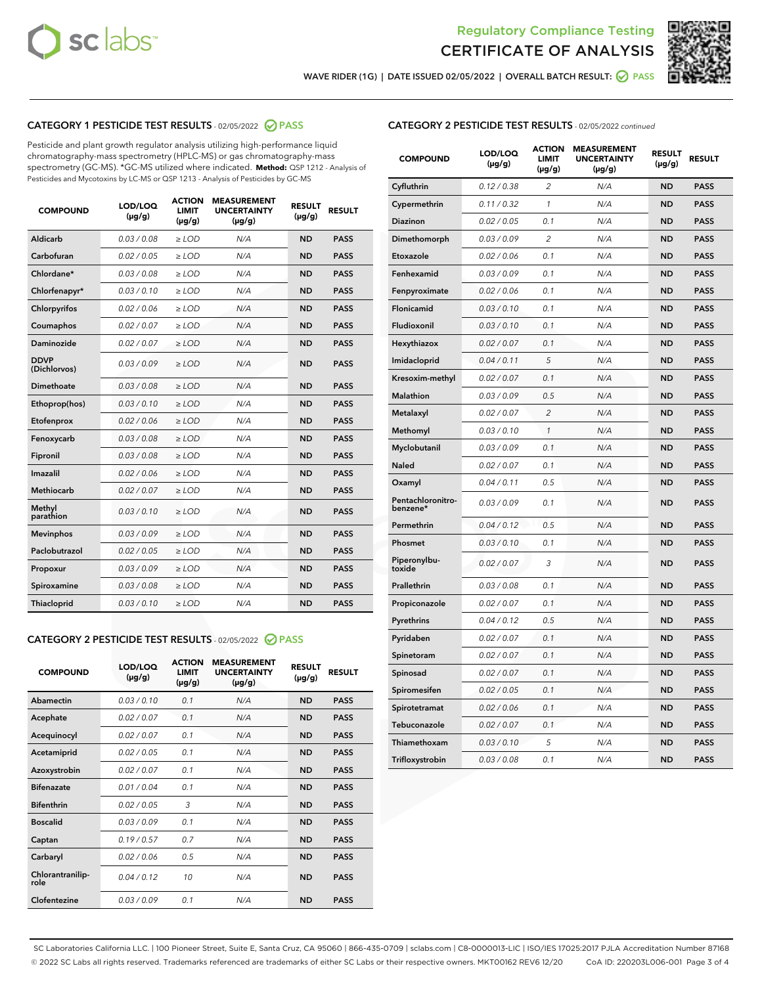



WAVE RIDER (1G) | DATE ISSUED 02/05/2022 | OVERALL BATCH RESULT:  $\bigcirc$  PASS

## CATEGORY 1 PESTICIDE TEST RESULTS - 02/05/2022 2 PASS

Pesticide and plant growth regulator analysis utilizing high-performance liquid chromatography-mass spectrometry (HPLC-MS) or gas chromatography-mass spectrometry (GC-MS). \*GC-MS utilized where indicated. **Method:** QSP 1212 - Analysis of Pesticides and Mycotoxins by LC-MS or QSP 1213 - Analysis of Pesticides by GC-MS

| <b>COMPOUND</b>             | LOD/LOQ<br>$(\mu g/g)$ | <b>ACTION</b><br><b>LIMIT</b><br>$(\mu g/g)$ | <b>MEASUREMENT</b><br><b>UNCERTAINTY</b><br>$(\mu g/g)$ | <b>RESULT</b><br>$(\mu g/g)$ | <b>RESULT</b> |
|-----------------------------|------------------------|----------------------------------------------|---------------------------------------------------------|------------------------------|---------------|
| Aldicarb                    | 0.03 / 0.08            | $\ge$ LOD                                    | N/A                                                     | <b>ND</b>                    | <b>PASS</b>   |
| Carbofuran                  | 0.02/0.05              | $>$ LOD                                      | N/A                                                     | <b>ND</b>                    | <b>PASS</b>   |
| Chlordane*                  | 0.03 / 0.08            | $\ge$ LOD                                    | N/A                                                     | <b>ND</b>                    | <b>PASS</b>   |
| Chlorfenapyr*               | 0.03/0.10              | $>$ LOD                                      | N/A                                                     | <b>ND</b>                    | <b>PASS</b>   |
| Chlorpyrifos                | 0.02 / 0.06            | $\ge$ LOD                                    | N/A                                                     | <b>ND</b>                    | <b>PASS</b>   |
| Coumaphos                   | 0.02 / 0.07            | $\ge$ LOD                                    | N/A                                                     | <b>ND</b>                    | <b>PASS</b>   |
| Daminozide                  | 0.02 / 0.07            | $\ge$ LOD                                    | N/A                                                     | <b>ND</b>                    | <b>PASS</b>   |
| <b>DDVP</b><br>(Dichlorvos) | 0.03/0.09              | $\ge$ LOD                                    | N/A                                                     | <b>ND</b>                    | <b>PASS</b>   |
| Dimethoate                  | 0.03/0.08              | $>$ LOD                                      | N/A                                                     | <b>ND</b>                    | <b>PASS</b>   |
| Ethoprop(hos)               | 0.03/0.10              | $\ge$ LOD                                    | N/A                                                     | <b>ND</b>                    | <b>PASS</b>   |
| Etofenprox                  | 0.02 / 0.06            | $\ge$ LOD                                    | N/A                                                     | <b>ND</b>                    | <b>PASS</b>   |
| Fenoxycarb                  | 0.03/0.08              | $\ge$ LOD                                    | N/A                                                     | <b>ND</b>                    | <b>PASS</b>   |
| Fipronil                    | 0.03/0.08              | $>$ LOD                                      | N/A                                                     | <b>ND</b>                    | <b>PASS</b>   |
| Imazalil                    | 0.02 / 0.06            | $\ge$ LOD                                    | N/A                                                     | <b>ND</b>                    | <b>PASS</b>   |
| <b>Methiocarb</b>           | 0.02 / 0.07            | $\ge$ LOD                                    | N/A                                                     | <b>ND</b>                    | <b>PASS</b>   |
| Methyl<br>parathion         | 0.03/0.10              | $\ge$ LOD                                    | N/A                                                     | <b>ND</b>                    | <b>PASS</b>   |
| <b>Mevinphos</b>            | 0.03/0.09              | $>$ LOD                                      | N/A                                                     | <b>ND</b>                    | <b>PASS</b>   |
| Paclobutrazol               | 0.02 / 0.05            | $\ge$ LOD                                    | N/A                                                     | <b>ND</b>                    | <b>PASS</b>   |
| Propoxur                    | 0.03/0.09              | $\ge$ LOD                                    | N/A                                                     | <b>ND</b>                    | <b>PASS</b>   |
| Spiroxamine                 | 0.03 / 0.08            | $\ge$ LOD                                    | N/A                                                     | <b>ND</b>                    | <b>PASS</b>   |
| Thiacloprid                 | 0.03/0.10              | $\ge$ LOD                                    | N/A                                                     | <b>ND</b>                    | <b>PASS</b>   |

#### CATEGORY 2 PESTICIDE TEST RESULTS - 02/05/2022 2 PASS

| <b>COMPOUND</b>          | LOD/LOO<br>$(\mu g/g)$ | <b>ACTION</b><br>LIMIT<br>$(\mu g/g)$ | <b>MEASUREMENT</b><br><b>UNCERTAINTY</b><br>$(\mu g/g)$ | <b>RESULT</b><br>$(\mu g/g)$ | <b>RESULT</b> |
|--------------------------|------------------------|---------------------------------------|---------------------------------------------------------|------------------------------|---------------|
| Abamectin                | 0.03/0.10              | 0.1                                   | N/A                                                     | <b>ND</b>                    | <b>PASS</b>   |
| Acephate                 | 0.02/0.07              | 0.1                                   | N/A                                                     | <b>ND</b>                    | <b>PASS</b>   |
| Acequinocyl              | 0.02/0.07              | 0.1                                   | N/A                                                     | <b>ND</b>                    | <b>PASS</b>   |
| Acetamiprid              | 0.02 / 0.05            | 0.1                                   | N/A                                                     | <b>ND</b>                    | <b>PASS</b>   |
| Azoxystrobin             | 0.02/0.07              | 0.1                                   | N/A                                                     | <b>ND</b>                    | <b>PASS</b>   |
| <b>Bifenazate</b>        | 0.01 / 0.04            | 0.1                                   | N/A                                                     | <b>ND</b>                    | <b>PASS</b>   |
| <b>Bifenthrin</b>        | 0.02 / 0.05            | 3                                     | N/A                                                     | <b>ND</b>                    | <b>PASS</b>   |
| <b>Boscalid</b>          | 0.03/0.09              | 0.1                                   | N/A                                                     | <b>ND</b>                    | <b>PASS</b>   |
| Captan                   | 0.19/0.57              | 0.7                                   | N/A                                                     | <b>ND</b>                    | <b>PASS</b>   |
| Carbaryl                 | 0.02/0.06              | 0.5                                   | N/A                                                     | <b>ND</b>                    | <b>PASS</b>   |
| Chlorantranilip-<br>role | 0.04/0.12              | 10                                    | N/A                                                     | <b>ND</b>                    | <b>PASS</b>   |
| Clofentezine             | 0.03/0.09              | 0.1                                   | N/A                                                     | <b>ND</b>                    | <b>PASS</b>   |

### CATEGORY 2 PESTICIDE TEST RESULTS - 02/05/2022 continued

| <b>COMPOUND</b>               | LOD/LOQ<br>(µg/g) | <b>ACTION</b><br><b>LIMIT</b><br>$(\mu g/g)$ | <b>MEASUREMENT</b><br><b>UNCERTAINTY</b><br>$(\mu g/g)$ | <b>RESULT</b><br>(µg/g) | <b>RESULT</b> |
|-------------------------------|-------------------|----------------------------------------------|---------------------------------------------------------|-------------------------|---------------|
| Cyfluthrin                    | 0.12 / 0.38       | $\overline{c}$                               | N/A                                                     | <b>ND</b>               | <b>PASS</b>   |
| Cypermethrin                  | 0.11 / 0.32       | $\mathcal{I}$                                | N/A                                                     | ND                      | <b>PASS</b>   |
| <b>Diazinon</b>               | 0.02 / 0.05       | 0.1                                          | N/A                                                     | <b>ND</b>               | <b>PASS</b>   |
| Dimethomorph                  | 0.03 / 0.09       | 2                                            | N/A                                                     | ND                      | <b>PASS</b>   |
| Etoxazole                     | 0.02 / 0.06       | 0.1                                          | N/A                                                     | ND                      | <b>PASS</b>   |
| Fenhexamid                    | 0.03 / 0.09       | 0.1                                          | N/A                                                     | ND                      | <b>PASS</b>   |
| Fenpyroximate                 | 0.02 / 0.06       | 0.1                                          | N/A                                                     | <b>ND</b>               | <b>PASS</b>   |
| Flonicamid                    | 0.03 / 0.10       | 0.1                                          | N/A                                                     | ND                      | <b>PASS</b>   |
| Fludioxonil                   | 0.03 / 0.10       | 0.1                                          | N/A                                                     | ND                      | <b>PASS</b>   |
| Hexythiazox                   | 0.02 / 0.07       | 0.1                                          | N/A                                                     | <b>ND</b>               | <b>PASS</b>   |
| Imidacloprid                  | 0.04 / 0.11       | 5                                            | N/A                                                     | <b>ND</b>               | <b>PASS</b>   |
| Kresoxim-methyl               | 0.02 / 0.07       | 0.1                                          | N/A                                                     | ND                      | <b>PASS</b>   |
| Malathion                     | 0.03 / 0.09       | 0.5                                          | N/A                                                     | <b>ND</b>               | <b>PASS</b>   |
| Metalaxyl                     | 0.02 / 0.07       | $\overline{c}$                               | N/A                                                     | <b>ND</b>               | <b>PASS</b>   |
| Methomyl                      | 0.03 / 0.10       | 1                                            | N/A                                                     | ND                      | <b>PASS</b>   |
| Myclobutanil                  | 0.03 / 0.09       | 0.1                                          | N/A                                                     | <b>ND</b>               | <b>PASS</b>   |
| Naled                         | 0.02 / 0.07       | 0.1                                          | N/A                                                     | <b>ND</b>               | <b>PASS</b>   |
| Oxamyl                        | 0.04 / 0.11       | 0.5                                          | N/A                                                     | ND                      | <b>PASS</b>   |
| Pentachloronitro-<br>benzene* | 0.03 / 0.09       | 0.1                                          | N/A                                                     | <b>ND</b>               | <b>PASS</b>   |
| Permethrin                    | 0.04 / 0.12       | 0.5                                          | N/A                                                     | ND                      | <b>PASS</b>   |
| Phosmet                       | 0.03 / 0.10       | 0.1                                          | N/A                                                     | ND                      | <b>PASS</b>   |
| Piperonylbu-<br>toxide        | 0.02 / 0.07       | 3                                            | N/A                                                     | <b>ND</b>               | <b>PASS</b>   |
| Prallethrin                   | 0.03 / 0.08       | 0.1                                          | N/A                                                     | ND                      | <b>PASS</b>   |
| Propiconazole                 | 0.02 / 0.07       | 0.1                                          | N/A                                                     | ND                      | <b>PASS</b>   |
| Pyrethrins                    | 0.04 / 0.12       | 0.5                                          | N/A                                                     | ND                      | <b>PASS</b>   |
| Pyridaben                     | 0.02 / 0.07       | 0.1                                          | N/A                                                     | <b>ND</b>               | <b>PASS</b>   |
| Spinetoram                    | 0.02 / 0.07       | 0.1                                          | N/A                                                     | <b>ND</b>               | <b>PASS</b>   |
| Spinosad                      | 0.02 / 0.07       | 0.1                                          | N/A                                                     | ND                      | <b>PASS</b>   |
| Spiromesifen                  | 0.02 / 0.05       | 0.1                                          | N/A                                                     | <b>ND</b>               | <b>PASS</b>   |
| Spirotetramat                 | 0.02 / 0.06       | 0.1                                          | N/A                                                     | <b>ND</b>               | <b>PASS</b>   |
| Tebuconazole                  | 0.02 / 0.07       | 0.1                                          | N/A                                                     | ND                      | <b>PASS</b>   |
| Thiamethoxam                  | 0.03 / 0.10       | 5                                            | N/A                                                     | <b>ND</b>               | <b>PASS</b>   |
| Trifloxystrobin               | 0.03 / 0.08       | 0.1                                          | N/A                                                     | <b>ND</b>               | <b>PASS</b>   |

SC Laboratories California LLC. | 100 Pioneer Street, Suite E, Santa Cruz, CA 95060 | 866-435-0709 | sclabs.com | C8-0000013-LIC | ISO/IES 17025:2017 PJLA Accreditation Number 87168 © 2022 SC Labs all rights reserved. Trademarks referenced are trademarks of either SC Labs or their respective owners. MKT00162 REV6 12/20 CoA ID: 220203L006-001 Page 3 of 4